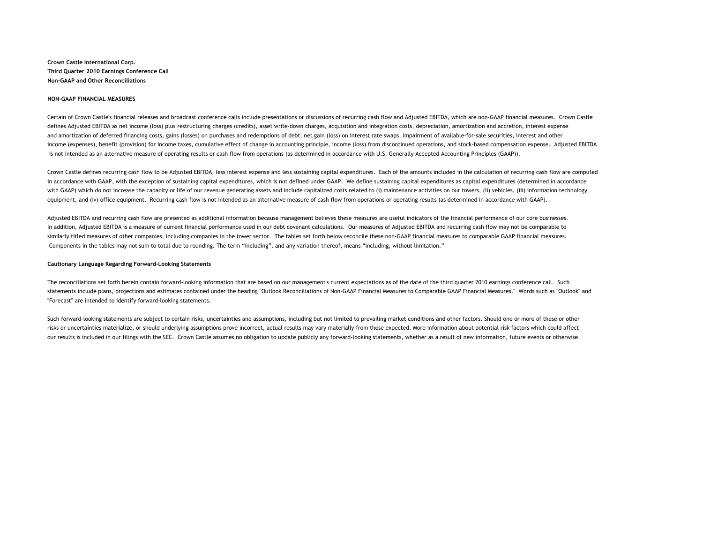**Crown Castle International Corp. Third Quarter 2010 Earnings Conference Call Non-GAAP and Other Reconciliations**

#### **NON-GAAP FINANCIAL MEASURES**

Certain of Crown Castle's financial releases and broadcast conference calls include presentations or discussions of recurring cash flow and Adjusted EBITDA, which are non-GAAP financial measures. Crown Castle defines Adjusted EBITDA as net income (loss) plus restructuring charges (credits), asset write-down charges, acquisition and integration costs, depreciation, amortization and accretion, interest expense and amortization of deferred financing costs, gains (losses) on purchases and redemptions of debt, net gain (loss) on interest rate swaps, impairment of available-for-sale securities, interest and other income (expenses), benefit (provision) for income taxes, cumulative effect of change in accounting principle, income (loss) from discontinued operations, and stock-based compensation expense. Adjusted EBITDA is not intended as an alternative measure of operating results or cash flow from operations (as determined in accordance with U.S. Generally Accepted Accounting Principles (GAAP)).

Crown Castle defines recurring cash flow to be Adjusted EBITDA, less interest expense and less sustaining capital expenditures. Each of the amounts included in the calculation of recurring cash flow are computed in accordance with GAAP, with the exception of sustaining capital expenditures, which is not defined under GAAP. We define sustaining capital expenditures as capital expenditures (determined in accordance with GAAP) which do not increase the capacity or life of our revenue generating assets and include capitalized costs related to (i) maintenance activities on our towers, (ii) vehicles, (iii) information technology equipment, and (iv) office equipment. Recurring cash flow is not intended as an alternative measure of cash flow from operations or operating results (as determined in accordance with GAAP).

Adjusted EBITDA and recurring cash flow are presented as additional information because management believes these measures are useful indicators of the financial performance of our core businesses. In addition, Adjusted EBITDA is a measure of current financial performance used in our debt covenant calculations. Our measures of Adjusted EBITDA and recurring cash flow may not be comparable to similarly titled measures of other companies, including companies in the tower sector. The tables set forth below reconcile these non-GAAP financial measures to comparable GAAP financial measures Components in the tables may not sum to total due to rounding. The term "including", and any variation thereof, means "including, without limitation."

#### **Cautionary Language Regarding Forward-Looking Statements**

The reconciliations set forth herein contain forward-looking information that are based on our management's current expectations as of the date of the third quarter 2010 earnings conference call. Such statements include plans, projections and estimates contained under the heading "Outlook Reconciliations of Non-GAAP Financial Measures to Comparable GAAP Financial Measures." Words such as "Outlook" and "Forecast" are intended to identify forward-looking statements.

Such forward-looking statements are subject to certain risks, uncertainties and assumptions, including but not limited to prevailing market conditions and other factors. Should one or more of these or other risks or uncertainties materialize, or should underlying assumptions prove incorrect, actual results may vary materially from those expected. More information about potential risk factors which could affect our results is included in our filings with the SEC. Crown Castle assumes no obligation to update publicly any forward-looking statements, whether as a result of new information, future events or otherwise.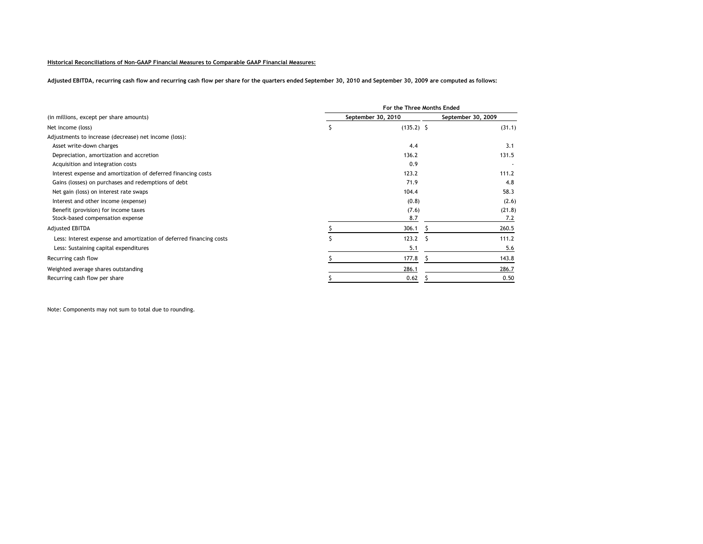### **Historical Reconciliations of Non-GAAP Financial Measures to Comparable GAAP Financial Measures:**

**Adjusted EBITDA, recurring cash flow and recurring cash flow per share for the quarters ended September 30, 2010 and September 30, 2009 are computed as follows:**

|                                                                     | For the Three Months Ended |                    |        |  |  |  |
|---------------------------------------------------------------------|----------------------------|--------------------|--------|--|--|--|
| (in millions, except per share amounts)                             | September 30, 2010         | September 30, 2009 |        |  |  |  |
| Net income (loss)                                                   |                            | $(135.2)$ \$       | (31.1) |  |  |  |
| Adjustments to increase (decrease) net income (loss):               |                            |                    |        |  |  |  |
| Asset write-down charges                                            |                            | 4.4                | 3.1    |  |  |  |
| Depreciation, amortization and accretion                            |                            | 136.2              | 131.5  |  |  |  |
| Acquisition and integration costs                                   |                            | 0.9                |        |  |  |  |
| Interest expense and amortization of deferred financing costs       |                            | 123.2              | 111.2  |  |  |  |
| Gains (losses) on purchases and redemptions of debt                 |                            | 71.9               | 4.8    |  |  |  |
| Net gain (loss) on interest rate swaps                              |                            | 104.4              | 58.3   |  |  |  |
| Interest and other income (expense)                                 |                            | (0.8)              | (2.6)  |  |  |  |
| Benefit (provision) for income taxes                                |                            | (7.6)              | (21.8) |  |  |  |
| Stock-based compensation expense                                    |                            | 8.7                | 7.2    |  |  |  |
| Adjusted EBITDA                                                     |                            | 306.1              | 260.5  |  |  |  |
| Less: Interest expense and amortization of deferred financing costs |                            | 123.2<br>-S        | 111.2  |  |  |  |
| Less: Sustaining capital expenditures                               |                            | 5.1                | 5.6    |  |  |  |
| Recurring cash flow                                                 |                            | 177.8              | 143.8  |  |  |  |
| Weighted average shares outstanding                                 |                            | 286.1              | 286.7  |  |  |  |
| Recurring cash flow per share                                       |                            | 0.62               | 0.50   |  |  |  |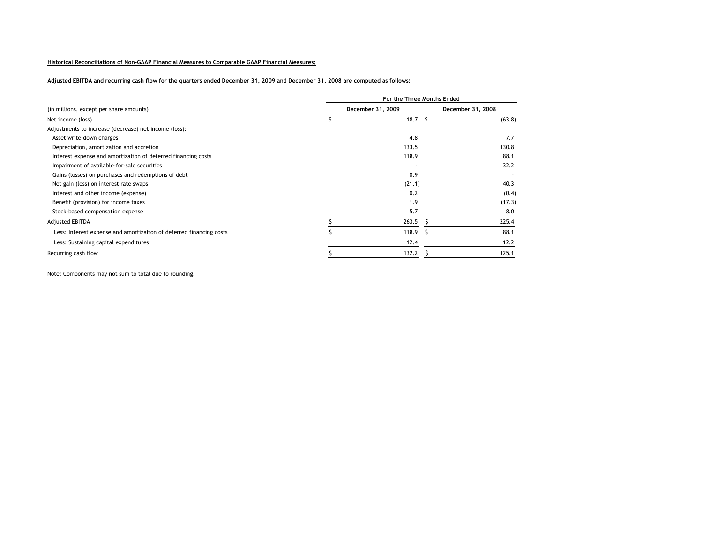### **Historical Reconciliations of Non-GAAP Financial Measures to Comparable GAAP Financial Measures:**

## **Adjusted EBITDA and recurring cash flow for the quarters ended December 31, 2009 and December 31, 2008 are computed as follows:**

|                                                                     | For the Three Months Ended |                    |  |        |  |  |
|---------------------------------------------------------------------|----------------------------|--------------------|--|--------|--|--|
| (in millions, except per share amounts)                             | December 31, 2009          | December 31, 2008  |  |        |  |  |
| Net income (loss)                                                   |                            | 18.7 <sup>5</sup>  |  | (63.8) |  |  |
| Adjustments to increase (decrease) net income (loss):               |                            |                    |  |        |  |  |
| Asset write-down charges                                            |                            | 4.8                |  | 7.7    |  |  |
| Depreciation, amortization and accretion                            |                            | 133.5              |  | 130.8  |  |  |
| Interest expense and amortization of deferred financing costs       |                            | 118.9              |  | 88.1   |  |  |
| Impairment of available-for-sale securities                         |                            |                    |  | 32.2   |  |  |
| Gains (losses) on purchases and redemptions of debt                 |                            | 0.9                |  |        |  |  |
| Net gain (loss) on interest rate swaps                              |                            | (21.1)             |  | 40.3   |  |  |
| Interest and other income (expense)                                 |                            | 0.2                |  | (0.4)  |  |  |
| Benefit (provision) for income taxes                                |                            | 1.9                |  | (17.3) |  |  |
| Stock-based compensation expense                                    |                            | 5.7                |  | 8.0    |  |  |
| <b>Adjusted EBITDA</b>                                              |                            | 263.5              |  | 225.4  |  |  |
| Less: Interest expense and amortization of deferred financing costs |                            | 118.9 <sup>5</sup> |  | 88.1   |  |  |
| Less: Sustaining capital expenditures                               |                            | 12.4               |  | 12.2   |  |  |
| Recurring cash flow                                                 |                            | 132.2              |  | 125.1  |  |  |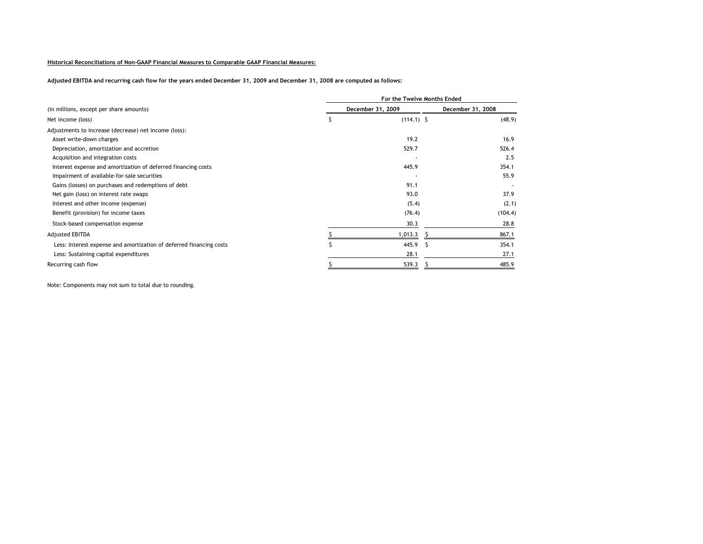### **Historical Reconciliations of Non-GAAP Financial Measures to Comparable GAAP Financial Measures:**

# **Adjusted EBITDA and recurring cash flow for the years ended December 31, 2009 and December 31, 2008 are computed as follows:**

|                                                                     | For the Twelve Months Ended |                   |              |         |  |  |
|---------------------------------------------------------------------|-----------------------------|-------------------|--------------|---------|--|--|
| (in millions, except per share amounts)                             | December 31, 2009           | December 31, 2008 |              |         |  |  |
| Net income (loss)                                                   |                             | $(114.1)$ \$      |              | (48.9)  |  |  |
| Adjustments to increase (decrease) net income (loss):               |                             |                   |              |         |  |  |
| Asset write-down charges                                            |                             | 19.2              |              | 16.9    |  |  |
| Depreciation, amortization and accretion                            |                             | 529.7             |              | 526.4   |  |  |
| Acquisition and integration costs                                   |                             |                   |              | 2.5     |  |  |
| Interest expense and amortization of deferred financing costs       |                             | 445.9             |              | 354.1   |  |  |
| Impairment of available-for-sale securities                         |                             |                   |              | 55.9    |  |  |
| Gains (losses) on purchases and redemptions of debt                 |                             | 91.1              |              |         |  |  |
| Net gain (loss) on interest rate swaps                              |                             | 93.0              |              | 37.9    |  |  |
| Interest and other income (expense)                                 |                             | (5.4)             |              | (2.1)   |  |  |
| Benefit (provision) for income taxes                                |                             | (76.4)            |              | (104.4) |  |  |
| Stock-based compensation expense                                    |                             | 30.3              |              | 28.8    |  |  |
| <b>Adjusted EBITDA</b>                                              |                             | 1,013.3           |              | 867.1   |  |  |
| Less: Interest expense and amortization of deferred financing costs |                             | 445.9             | <sub>S</sub> | 354.1   |  |  |
| Less: Sustaining capital expenditures                               |                             | 28.1              |              | 27.1    |  |  |
| Recurring cash flow                                                 |                             | 539.3             |              | 485.9   |  |  |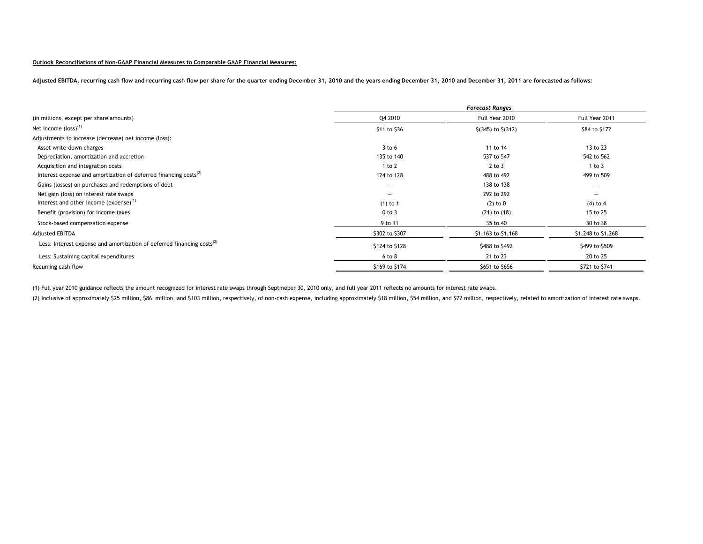### **Outlook Reconciliations of Non-GAAP Financial Measures to Comparable GAAP Financial Measures:**

**Adjusted EBITDA, recurring cash flow and recurring cash flow per share for the quarter ending December 31, 2010 and the years ending December 31, 2010 and December 31, 2011 are forecasted as follows:**

|                                                                                    | <b>Forecast Ranges</b> |                        |                          |  |  |  |
|------------------------------------------------------------------------------------|------------------------|------------------------|--------------------------|--|--|--|
| (in millions, except per share amounts)                                            | Q4 2010                | Full Year 2010         | Full Year 2011           |  |  |  |
| Net income $(\text{loss})^{(1)}$                                                   | \$11 to \$36           | $$$ (345) to $$$ (312) | \$84 to \$172            |  |  |  |
| Adjustments to increase (decrease) net income (loss):                              |                        |                        |                          |  |  |  |
| Asset write-down charges                                                           | $3$ to $6$             | 11 to 14               | 13 to 23                 |  |  |  |
| Depreciation, amortization and accretion                                           | 135 to 140             | 537 to 547             | 542 to 562               |  |  |  |
| Acquisition and integration costs                                                  | $1$ to $2$             | $2$ to $3$             | $1$ to $3$               |  |  |  |
| Interest expense and amortization of deferred financing costs $^{(2)}$             | 124 to 128             | 488 to 492             | 499 to 509               |  |  |  |
| Gains (losses) on purchases and redemptions of debt                                | -                      | 138 to 138             | $\overline{\phantom{a}}$ |  |  |  |
| Net gain (loss) on interest rate swaps                                             |                        | 292 to 292             | $\overline{\phantom{a}}$ |  |  |  |
| Interest and other income (expense) <sup>(1)</sup>                                 | $(1)$ to 1             | $(2)$ to $0$           | $(4)$ to 4               |  |  |  |
| Benefit (provision) for income taxes                                               | $0$ to $3$             | $(21)$ to $(18)$       | 15 to 25                 |  |  |  |
| Stock-based compensation expense                                                   | 9 to 11                | 35 to 40               | 30 to 38                 |  |  |  |
| <b>Adjusted EBITDA</b>                                                             | \$302 to \$307         | \$1,163 to \$1,168     | \$1,248 to \$1,268       |  |  |  |
| Less: Interest expense and amortization of deferred financing costs <sup>(2)</sup> | \$124 to \$128         | \$488 to \$492         | \$499 to \$509           |  |  |  |
| Less: Sustaining capital expenditures                                              | $6$ to $8$             | 21 to 23               | 20 to 25                 |  |  |  |
| Recurring cash flow                                                                | \$169 to \$174         | \$651 to \$656         | \$721 to \$741           |  |  |  |

(1) Full year 2010 guidance reflects the amount recognized for interest rate swaps through Septmeber 30, 2010 only, and full year 2011 reflects no amounts for interest rate swaps.

(2) Inclusive of approximately \$25 million, \$86 million, snd \$103 million, respectively, of non-cash expense, including approximately \$18 million, 554 million, and \$72 million, respectively, related to amortization of inte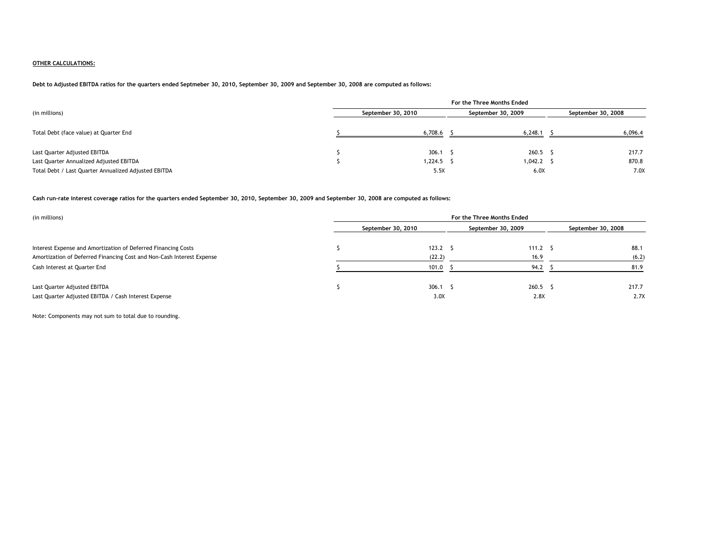# **OTHER CALCULATIONS:**

### **Debt to Adjusted EBITDA ratios for the quarters ended Septmeber 30, 2010, September 30, 2009 and September 30, 2008 are computed as follows:**

|                                                      |  |                    |  | For the Three Months Ended |  |                    |  |
|------------------------------------------------------|--|--------------------|--|----------------------------|--|--------------------|--|
| (in millions)                                        |  | September 30, 2010 |  | September 30, 2009         |  | September 30, 2008 |  |
| Total Debt (face value) at Quarter End               |  | 6,708.6            |  | 6,248.1                    |  | 6,096.4            |  |
| Last Quarter Adjusted EBITDA                         |  | $306.1$ S          |  | $260.5$ \$                 |  | 217.7              |  |
| Last Quarter Annualized Adjusted EBITDA              |  | $1,224.5$ \$       |  | $1,042.2$ \$               |  | 870.8              |  |
| Total Debt / Last Quarter Annualized Adjusted EBITDA |  | 5.5X               |  | 6.0X                       |  | 7.0X               |  |

### **Cash run-rate interest coverage ratios for the quarters ended September 30, 2010, September 30, 2009 and September 30, 2008 are computed as follows:**

| (in millions)                                                         | For the Three Months Ended |                    |                    |  |  |
|-----------------------------------------------------------------------|----------------------------|--------------------|--------------------|--|--|
|                                                                       | September 30, 2010         |                    | September 30, 2008 |  |  |
| Interest Expense and Amortization of Deferred Financing Costs         | 123.2 <sup>5</sup>         | 111.2 <sup>5</sup> | 88.1               |  |  |
| Amortization of Deferred Financing Cost and Non-Cash Interest Expense | (22.2)                     | 16.9               | (6.2)              |  |  |
| Cash Interest at Quarter End                                          | 101.0                      | 94.2               | 81.9               |  |  |
| Last Quarter Adjusted EBITDA                                          | $306.1$ S                  | 260.5              | 217.7              |  |  |
| Last Quarter Adjusted EBITDA / Cash Interest Expense                  | 3.0X                       | 2.8X               | 2.7X               |  |  |